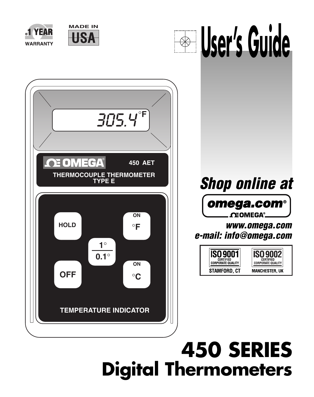

# **450 SERIES Digital Thermometers**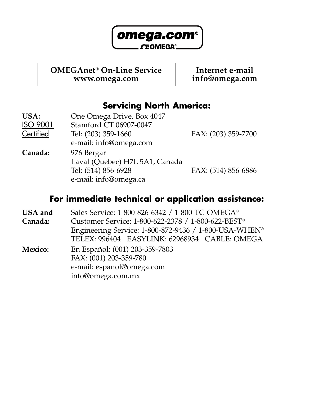

**OMEGAnet**® **On-Line Service Internet e-mail**

**www.omega.com info@omega.com**

#### **Servicing North America:**

| USA:      | One Omega Drive, Box 4047      |                     |
|-----------|--------------------------------|---------------------|
| ISO 9001  | Stamford CT 06907-0047         |                     |
| Certified | Tel: (203) 359-1660            | FAX: (203) 359-7700 |
|           | e-mail: info@omega.com         |                     |
| Canada:   | 976 Bergar                     |                     |
|           | Laval (Quebec) H7L 5A1, Canada |                     |
|           | Tel: (514) 856-6928            | FAX: (514) 856-6886 |
|           | e-mail: info@omega.ca          |                     |
|           |                                |                     |

#### **For immediate technical or application assistance:**

| <b>USA</b> and | Sales Service: 1-800-826-6342 / 1-800-TC-OMEGA <sup>®</sup>       |
|----------------|-------------------------------------------------------------------|
| Canada:        | Customer Service: 1-800-622-2378 / 1-800-622-BEST®                |
|                | Engineering Service: 1-800-872-9436 / 1-800-USA-WHEN <sup>®</sup> |
|                | TELEX: 996404 EASYLINK: 62968934 CABLE: OMEGA                     |
| Mexico:        | En Español: (001) 203-359-7803                                    |
|                | FAX: (001) 203-359-780                                            |
|                | e-mail: espanol@omega.com                                         |
|                | info@omega.com.mx                                                 |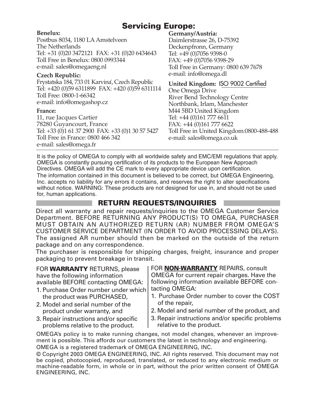#### **Servicing Europe:**

#### **Benelux:**

Postbus 8034, 1180 LA Amstelveen The Netherlands Tel: +31 (0)20 3472121 FAX: +31 (0)20 6434643 Toll Free in Benelux: 0800 0993344 e-mail: sales@omegaeng.nl

#### **Czech Republic:**

Frystatska 184, 733 01 Karvina´, Czech Republic Tel: +420 (0)59 6311899 FAX: +420 (0)59 6311114 Toll Free: 0800-1-66342 e-mail: info@omegashop.cz

#### **France:**

11, rue Jacques Cartier 78280 Guyancourt, France Tel: +33 (0)1 61 37 2900 FAX: +33 (0)1 30 57 5427 Toll Free in France: 0800 466 342 e-mail: sales@omega.fr

#### **Germany/Austria:**

Daimlerstrasse 26, D-75392 Deckenpfronn, Germany Tel: +49 (0)7056 9398-0 FAX: +49 (0)7056 9398-29 Toll Free in Germany: 0800 639 7678 e-mail: info@omega.dl

**United Kingdom:** ISO 9002 Certified

One Omega Drive River Bend Technology Centre Northbank, Irlam, Manchester M44 5BD United Kingdom Tel: +44 (0)161 777 6611 FAX: +44 (0)161 777 6622 Toll Free in United Kingdom:0800-488-488 e-mail: sales@omega.co.uk

It is the policy of OMEGA to comply with all worldwide safety and EMC/EMI regulations that apply. OMEGA is constantly pursuing certification of its products to the European New Approach Directives. OMEGA will add the CE mark to every appropriate device upon certification. The information contained in this document is believed to be correct, but OMEGA Engineering, Inc. accepts no liability for any errors it contains, and reserves the right to alter specifications without notice. WARNING: These products are not designed for use in, and should not be used for, human applications.

#### **RETURN REQUESTS/INQUIRIES**

Direct all warranty and repair requests/inquiries to the OMEGA Customer Service Department. BEFORE RETURNING ANY PRODUCT(S) TO OMEGA, PURCHASER MUST OBTAIN AN AUTHORIZED RETURN (AR) NUMBER FROM OMEGA'S CUSTOMER SERVICE DEPARTMENT (IN ORDER TO AVOID PROCESSING DELAYS). The assigned AR number should then be marked on the outside of the return package and on any correspondence.

The purchaser is responsible for shipping charges, freight, insurance and proper packaging to prevent breakage in transit.

FOR **WARRANTY** RETURNS, please have the following information available BEFORE contacting OMEGA:

- 1. Purchase Order number under which the product was PURCHASED,
- 2. Model and serial number of the product under warranty, and
- 3. Repair instructions and/or specific problems relative to the product.

FOR **NON-WARRANTY** REPAIRS, consult OMEGA for current repair charges. Have the following information available BEFORE contacting OMEGA:

- 1. Purchase Order number to cover the COST of the repair,
- 2. Model and serial number of the product, and
- 3. Repair instructions and/or specific problems relative to the product.

OMEGA's policy is to make running changes, not model changes, whenever an improvement is possible. This affords our customers the latest in technology and engineering. OMEGA is a registered trademark of OMEGA ENGINEERING, INC.

© Copyright 2003 OMEGA ENGINEERING, INC. All rights reserved. This document may not be copied, photocopied, reproduced, translated, or reduced to any electronic medium or machine-readable form, in whole or in part, without the prior written consent of OMEGA ENGINEERING, INC.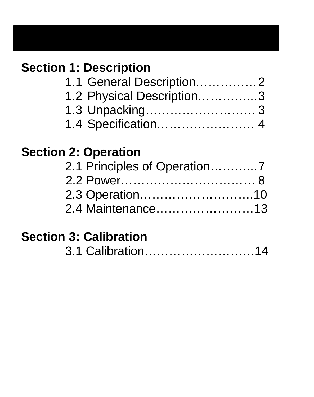# **Section 1: Description**

| 1.1 General Description2  |  |
|---------------------------|--|
| 1.2 Physical Description3 |  |
|                           |  |
|                           |  |

# **Section 2: Operation**

| 2.1 Principles of Operation7 |
|------------------------------|
|                              |
|                              |
| 2.4 Maintenance13            |
|                              |

# **Section 3: Calibration**

|  | 3.1 Calibration14 |  |  |
|--|-------------------|--|--|
|--|-------------------|--|--|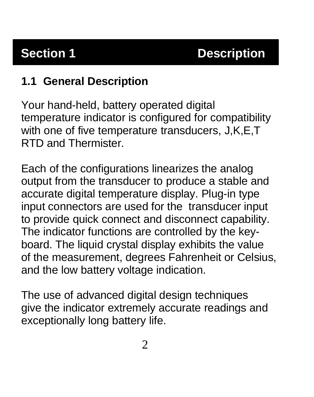## **1.1 General Description**

Your hand-held, battery operated digital temperature indicator is configured for compatibility with one of five temperature transducers, J,K,E,T RTD and Thermister.

Each of the configurations linearizes the analog output from the transducer to produce a stable and accurate digital temperature display. Plug-in type input connectors are used for the transducer input to provide quick connect and disconnect capability. The indicator functions are controlled by the keyboard. The liquid crystal display exhibits the value of the measurement, degrees Fahrenheit or Celsius, and the low battery voltage indication.

The use of advanced digital design techniques give the indicator extremely accurate readings and exceptionally long battery life.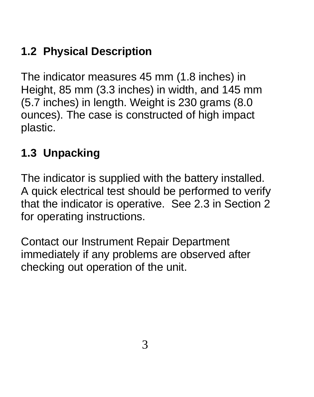# **1.2 Physical Description**

The indicator measures 45 mm (1.8 inches) in Height, 85 mm (3.3 inches) in width, and 145 mm (5.7 inches) in length. Weight is 230 grams (8.0 ounces). The case is constructed of high impact plastic.

# **1.3 Unpacking**

The indicator is supplied with the battery installed. A quick electrical test should be performed to verify that the indicator is operative. See 2.3 in Section 2 for operating instructions.

Contact our Instrument Repair Department immediately if any problems are observed after checking out operation of the unit.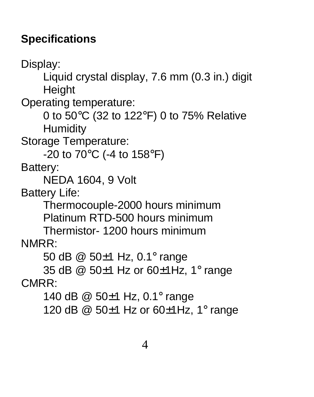## **Specifications**

Display: Liquid crystal display, 7.6 mm (0.3 in.) digit **Height** Operating temperature: 0 to 50°C (32 to 122°F) 0 to 75% Relative **Humidity** Storage Temperature: -20 to 70°C (-4 to 158°F) Battery: NEDA 1604, 9 Volt Battery Life: Thermocouple-2000 hours minimum Platinum RTD-500 hours minimum Thermistor- 1200 hours minimum NMRR: 50 dB @ 50±1 Hz, 0.1° range 35 dB @ 50±1 Hz or 60±1Hz, 1° range CMRR: 140 dB @ 50±1 Hz, 0.1° range 120 dB @ 50±1 Hz or 60±1Hz, 1° range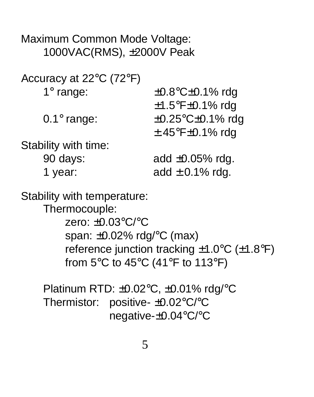Maximum Common Mode Voltage: 1000VAC(RMS), ±2000V Peak

Accuracy at 22°C (72°F)

| 1 $\degree$ range:                                                                                                                     | $\pm 0.8$ °C $\pm 0.1\%$ rdg         |
|----------------------------------------------------------------------------------------------------------------------------------------|--------------------------------------|
|                                                                                                                                        | $\pm$ 1.5°F $\pm$ 0.1% rdg           |
| $0.1^\circ$ range:                                                                                                                     | $\pm 0.25^{\circ}$ C $\pm 0.1\%$ rdg |
|                                                                                                                                        | $\pm$ .45°F $\pm$ 0.1% rdg           |
| .<br>the contract of the second contract of the second second to the second second the second second terms of the second second terms. |                                      |

Stability with time:

90 days: add ±0.05% rdg. 1 year:  $add \pm 0.1\%$  rdg.

Stability with temperature:

Thermocouple:

zero: ±0.03°C/°C span: ±0.02% rdg/°C (max) reference junction tracking ±1.0°C (±1.8°F) from 5°C to 45°C (41°F to 113°F)

Platinum RTD: ±0.02°C, ±0.01% rdg/°C Thermistor: positive- ±0.02°C/°C negative-±0.04°C/°C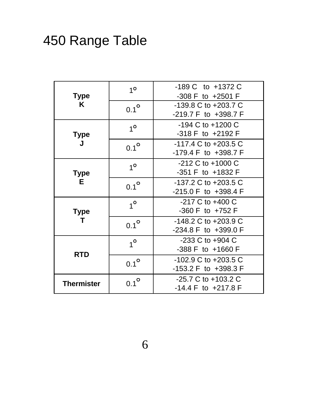# 450 Range Table

| Type<br>ĸ         | 1 <sup>o</sup> | -189 C to +1372 C<br>-308 F to +2501 F                               |
|-------------------|----------------|----------------------------------------------------------------------|
|                   | $0.1^\circ$    | -139.8 C to +203.7 C<br>$-219.7$ F to $+398.7$ F                     |
| Type              | $1^{\circ}$    | $-194$ C to $+1200$ C<br>-318 F to +2192 F                           |
|                   | $0.1^{\circ}$  | $-117.4 \text{ C}$ to $+203.5 \text{ C}$<br>$-179.4$ F to $+398.7$ F |
| Type<br>F.        | $1^{\circ}$    | $-212$ C to $+1000$ C<br>-351 F to +1832 F                           |
|                   | $0.1^\circ$    | $-137.2 \text{ C}$ to $+203.5 \text{ C}$<br>$-215.0$ F to $+398.4$ F |
| <b>Type</b><br>т  | $1^{\circ}$    | $-217$ C to $+400$ C<br>$-360$ F to $+752$ F                         |
|                   | $0.1^{\circ}$  | -148.2 C to +203.9 C<br>$-234.8$ F to $+399.0$ F                     |
| <b>RTD</b>        | $1^{\circ}$    | -233 C to +904 C<br>$-388$ F to $+1660$ F                            |
|                   | $0.1^\circ$    | -102.9 C to +203.5 C<br>$-153.2$ F to $+398.3$ F                     |
| <b>Thermister</b> | $0.1^\circ$    | -25.7 C to +103.2 C<br>$-14.4$ F to $+217.8$ F                       |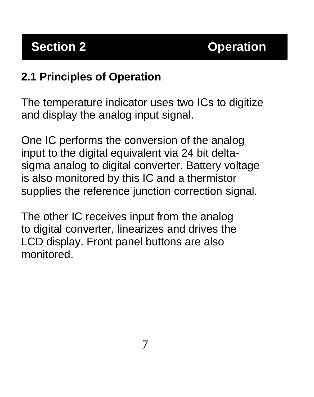#### **2.1 Principles of Operation**

The temperature indicator uses two ICs to digitize and display the analog input signal.

One IC performs the conversion of the analog input to the digital equivalent via 24 bit deltasigma analog to digital converter. Battery voltage is also monitored by this IC and a thermistor supplies the reference junction correction signal.

The other IC receives input from the analog to digital converter, linearizes and drives the LCD display. Front panel buttons are also monitored.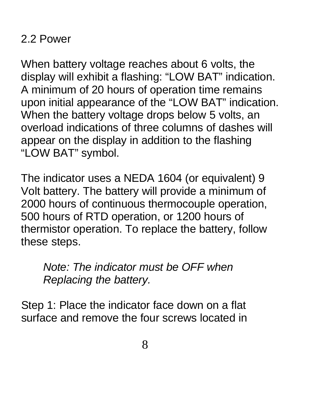### 2.2 Power

When battery voltage reaches about 6 volts, the display will exhibit a flashing: "LOW BAT" indication. A minimum of 20 hours of operation time remains upon initial appearance of the "LOW BAT" indication. When the battery voltage drops below 5 volts, an overload indications of three columns of dashes will appear on the display in addition to the flashing "LOW BAT" symbol.

The indicator uses a NEDA 1604 (or equivalent) 9 Volt battery. The battery will provide a minimum of 2000 hours of continuous thermocouple operation, 500 hours of RTD operation, or 1200 hours of thermistor operation. To replace the battery, follow these steps.

*Note: The indicator must be OFF when Replacing the battery.*

Step 1: Place the indicator face down on a flat surface and remove the four screws located in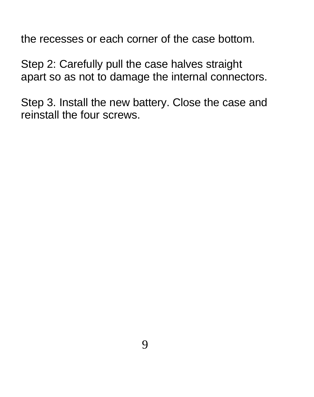the recesses or each corner of the case bottom.

Step 2: Carefully pull the case halves straight apart so as not to damage the internal connectors.

Step 3. Install the new battery. Close the case and reinstall the four screws.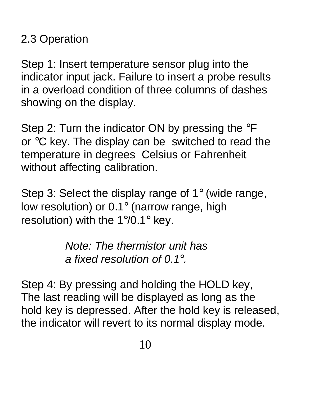## 2.3 Operation

Step 1: Insert temperature sensor plug into the indicator input jack. Failure to insert a probe results in a overload condition of three columns of dashes showing on the display.

Step 2: Turn the indicator ON by pressing the °F or °C key. The display can be switched to read the temperature in degrees Celsius or Fahrenheit without affecting calibration.

Step 3: Select the display range of 1° (wide range, low resolution) or 0.1° (narrow range, high resolution) with the 1°/0.1° key.

> *Note: The thermistor unit has a fixed resolution of 0.1°.*

Step 4: By pressing and holding the HOLD key, The last reading will be displayed as long as the hold key is depressed. After the hold key is released, the indicator will revert to its normal display mode.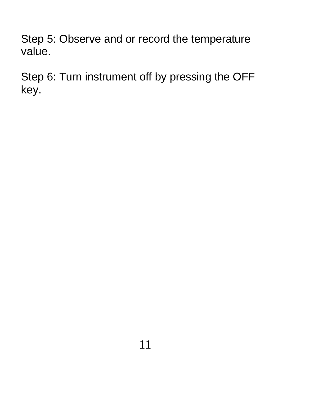Step 5: Observe and or record the temperature value.

Step 6: Turn instrument off by pressing the OFF key.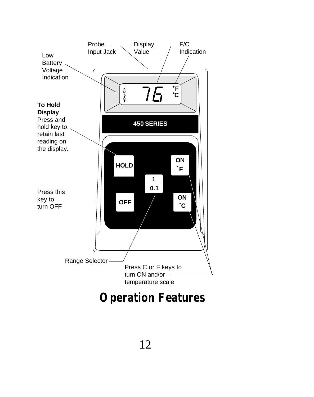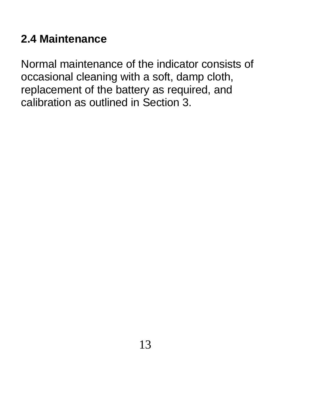### **2.4 Maintenance**

Normal maintenance of the indicator consists of occasional cleaning with a soft, damp cloth, replacement of the battery as required, and calibration as outlined in Section 3.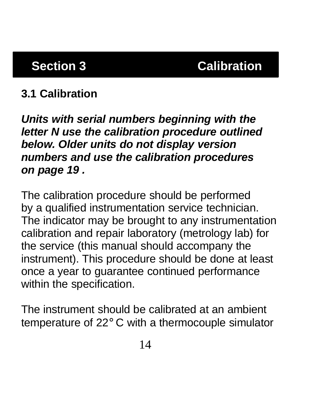## **3.1 Calibration**

*Units with serial numbers beginning with the letter N use the calibration procedure outlined below. Older units do not display version numbers and use the calibration procedures on page 19 .*

The calibration procedure should be performed by a qualified instrumentation service technician. The indicator may be brought to any instrumentation calibration and repair laboratory (metrology lab) for the service (this manual should accompany the instrument). This procedure should be done at least once a year to guarantee continued performance within the specification.

The instrument should be calibrated at an ambient temperature of 22° C with a thermocouple simulator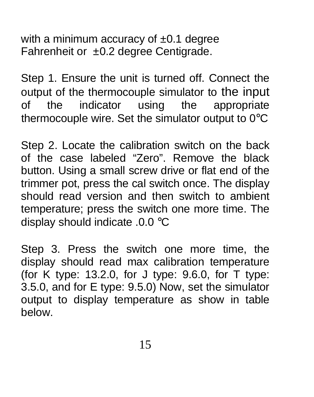with a minimum accuracy of  $\pm 0.1$  degree Fahrenheit or ±0.2 degree Centigrade.

Step 1. Ensure the unit is turned off. Connect the output of the thermocouple simulator to the input of the indicator using the appropriate thermocouple wire. Set the simulator output to 0°C

Step 2. Locate the calibration switch on the back of the case labeled "Zero". Remove the black button. Using a small screw drive or flat end of the trimmer pot, press the cal switch once. The display should read version and then switch to ambient temperature; press the switch one more time. The display should indicate .0.0 °C

Step 3. Press the switch one more time, the display should read max calibration temperature (for K type: 13.2.0, for J type: 9.6.0, for T type: 3.5.0, and for E type: 9.5.0) Now, set the simulator output to display temperature as show in table below.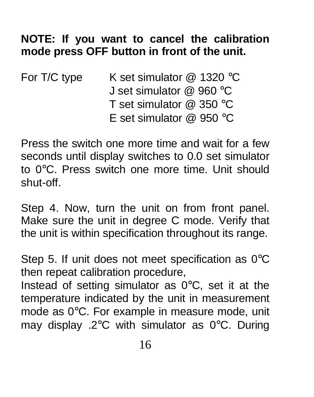### **NOTE: If you want to cancel the calibration mode press OFF button in front of the unit.**

| For T/C type | K set simulator $@$ 1320 °C |
|--------------|-----------------------------|
|              | J set simulator $@$ 960 °C  |
|              | T set simulator $@350 °C$   |
|              | E set simulator $@$ 950 °C  |

Press the switch one more time and wait for a few seconds until display switches to 0.0 set simulator to 0°C. Press switch one more time. Unit should shut-off.

Step 4. Now, turn the unit on from front panel. Make sure the unit in degree C mode. Verify that the unit is within specification throughout its range.

Step 5. If unit does not meet specification as 0°C then repeat calibration procedure,

Instead of setting simulator as  $0^{\circ}$ C, set it at the temperature indicated by the unit in measurement mode as 0°C. For example in measure mode, unit may display .2°C with simulator as 0°C. During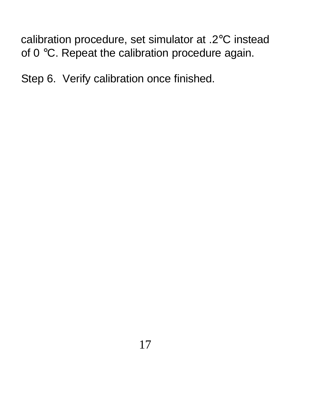calibration procedure, set simulator at .2°C instead of 0 °C. Repeat the calibration procedure again.

Step 6. Verify calibration once finished.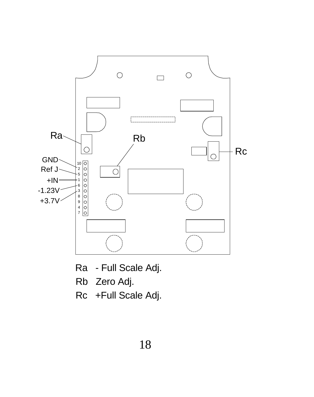

- Ra Full Scale Adj.
- Rb Zero Adj.
- Rc +Full Scale Adj.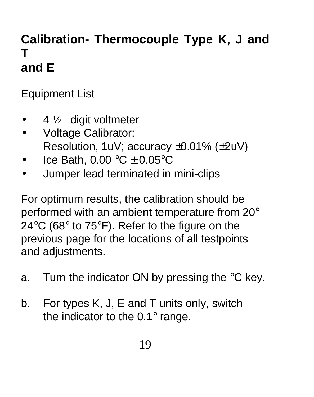# **Calibration- Thermocouple Type K, J and T and E**

Equipment List

- $\bullet$  4  $\frac{1}{2}$  digit voltmeter
- Voltage Calibrator: Resolution, 1uV; accuracy ±0.01% (±2uV)
- Ice Bath,  $0.00 \degree C \pm 0.05 \degree C$
- Jumper lead terminated in mini-clips

For optimum results, the calibration should be performed with an ambient temperature from 20° 24°C (68° to 75°F). Refer to the figure on the previous page for the locations of all testpoints and adjustments.

- a. Turn the indicator ON by pressing the °C key.
- b. For types K, J, E and T units only, switch the indicator to the 0.1° range.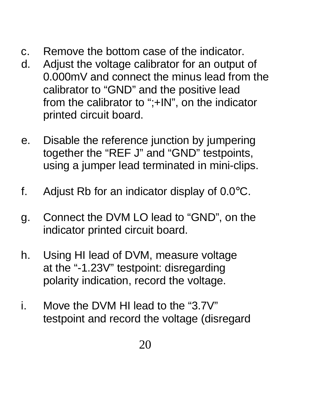- c. Remove the bottom case of the indicator.
- d. Adjust the voltage calibrator for an output of 0.000mV and connect the minus lead from the calibrator to "GND" and the positive lead from the calibrator to ";+IN", on the indicator printed circuit board.
- e. Disable the reference junction by jumpering together the "REF J" and "GND" testpoints, using a jumper lead terminated in mini-clips.
- f. Adjust Rb for an indicator display of  $0.0^{\circ}$ C.
- g. Connect the DVM LO lead to "GND", on the indicator printed circuit board.
- h. Using HI lead of DVM, measure voltage at the "-1.23V" testpoint: disregarding polarity indication, record the voltage.
- i. Move the DVM HI lead to the "3.7V" testpoint and record the voltage (disregard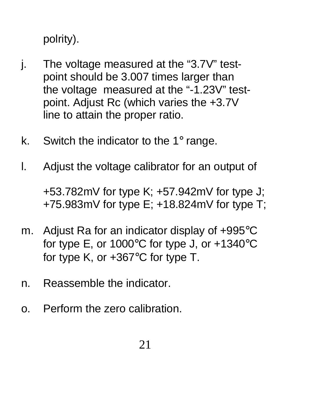polrity).

- j. The voltage measured at the "3.7V" testpoint should be 3.007 times larger than the voltage measured at the "-1.23V" testpoint. Adjust Rc (which varies the +3.7V line to attain the proper ratio.
- k. Switch the indicator to the 1° range.
- l. Adjust the voltage calibrator for an output of

+53.782mV for type K; +57.942mV for type J; +75.983mV for type E; +18.824mV for type T;

- m. Adjust Ra for an indicator display of +995°C for type E, or 1000°C for type J, or +1340°C for type K, or +367°C for type T.
- n. Reassemble the indicator.
- o. Perform the zero calibration.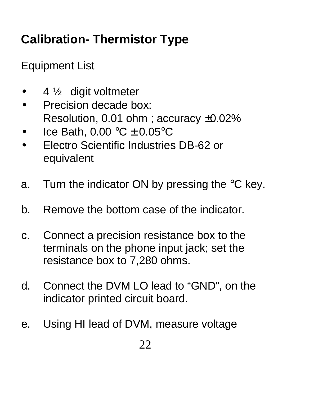# **Calibration- Thermistor Type**

Equipment List

- 4  $\frac{1}{2}$  digit voltmeter
- Precision decade box: Resolution, 0.01 ohm ; accuracy ±0.02%
- Ice Bath,  $0.00 \degree C \pm 0.05 \degree C$
- Electro Scientific Industries DB-62 or equivalent
- a. Turn the indicator ON by pressing the °C key.
- b. Remove the bottom case of the indicator.
- c. Connect a precision resistance box to the terminals on the phone input jack; set the resistance box to 7,280 ohms.
- d. Connect the DVM LO lead to "GND", on the indicator printed circuit board.
- e. Using HI lead of DVM, measure voltage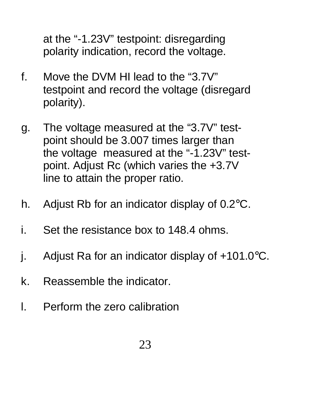at the "-1.23V" testpoint: disregarding polarity indication, record the voltage.

- f. Move the DVM HI lead to the "3.7V" testpoint and record the voltage (disregard polarity).
- g. The voltage measured at the "3.7V" testpoint should be 3.007 times larger than the voltage measured at the "-1.23V" testpoint. Adjust Rc (which varies the +3.7V line to attain the proper ratio.
- h. Adjust Rb for an indicator display of 0.2°C.
- i. Set the resistance box to 148.4 ohms.
- j. Adjust Ra for an indicator display of +101.0°C.
- k. Reassemble the indicator.
- l. Perform the zero calibration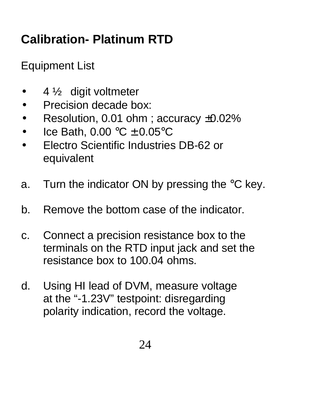# **Calibration- Platinum RTD**

Equipment List

- $\bullet$  4  $\frac{1}{2}$  digit voltmeter
- Precision decade box:
- Resolution, 0.01 ohm; accuracy ±0.02%
- Ice Bath,  $0.00 \degree C \pm 0.05 \degree C$
- Electro Scientific Industries DB-62 or equivalent
- a. Turn the indicator ON by pressing the °C key.
- b. Remove the bottom case of the indicator.
- c. Connect a precision resistance box to the terminals on the RTD input jack and set the resistance box to 100.04 ohms.
- d. Using HI lead of DVM, measure voltage at the "-1.23V" testpoint: disregarding polarity indication, record the voltage.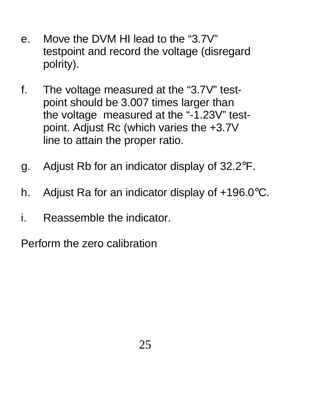- e. Move the DVM HI lead to the "3.7V" testpoint and record the voltage (disregard polrity).
- f. The voltage measured at the "3.7V" testpoint should be 3.007 times larger than the voltage measured at the "-1.23V" testpoint. Adjust Rc (which varies the +3.7V line to attain the proper ratio.
- g. Adjust Rb for an indicator display of 32.2°F.
- h. Adjust Ra for an indicator display of +196.0°C.
- i. Reassemble the indicator.

Perform the zero calibration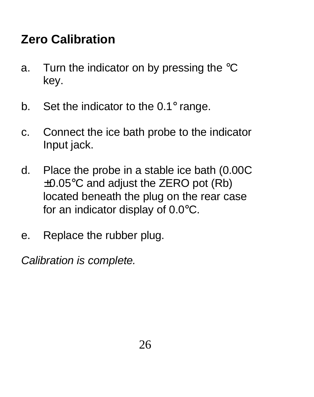# **Zero Calibration**

- a. Turn the indicator on by pressing the °C key.
- b. Set the indicator to the  $0.1^\circ$  range.
- c. Connect the ice bath probe to the indicator Input jack.
- d. Place the probe in a stable ice bath (0.00C  $\pm 0.05^{\circ}$ C and adjust the ZERO pot (Rb) located beneath the plug on the rear case for an indicator display of 0.0°C.
- e. Replace the rubber plug.

*Calibration is complete.*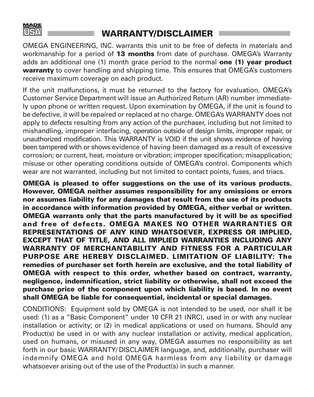

#### **WARRANTY/DISCLAIMER**

OMEGA ENGINEERING, INC. warrants this unit to be free of defects in materials and workmanship for a period of **13 months** from date of purchase. OMEGA's Warranty adds an additional one (1) month grace period to the normal **one (1) year product warranty** to cover handling and shipping time. This ensures that OMEGA's customers receive maximum coverage on each product.

If the unit malfunctions, it must be returned to the factory for evaluation. OMEGA's Customer Service Department will issue an Authorized Return (AR) number immediately upon phone or written request. Upon examination by OMEGA, if the unit is found to be defective, it will be repaired or replaced at no charge. OMEGA's WARRANTY does not apply to defects resulting from any action of the purchaser, including but not limited to mishandling, improper interfacing, operation outside of design limits, improper repair, or unauthorized modification. This WARRANTY is VOID if the unit shows evidence of having been tampered with or shows evidence of having been damaged as a result of excessive corrosion; or current, heat, moisture or vibration; improper specification; misapplication; misuse or other operating conditions outside of OMEGA's control. Components which wear are not warranted, including but not limited to contact points, fuses, and triacs.

**OMEGA is pleased to offer suggestions on the use of its various products. However, OMEGA neither assumes responsibility for any omissions or errors nor assumes liability for any damages that result from the use of its products in accordance with information provided by OMEGA, either verbal or written. OMEGA warrants only that the parts manufactured by it will be as specified and free of defects. OMEGA MAKES NO OTHER WARRANTIES OR REPRESENTATIONS OF ANY KIND WHATSOEVER, EXPRESS OR IMPLIED, EXCEPT THAT OF TITLE, AND ALL IMPLIED WARRANTIES INCLUDING ANY WARRANTY OF MERCHANTABILITY AND FITNESS FOR A PARTICULAR PURPOSE ARE HEREBY DISCLAIMED. LIMITATION OF LIABILITY: The remedies of purchaser set forth herein are exclusive, and the total liability of OMEGA with respect to this order, whether based on contract, warranty, negligence, indemnification, strict liability or otherwise, shall not exceed the purchase price of the component upon which liability is based. In no event shall OMEGA be liable for consequential, incidental or special damages.**

CONDITIONS: Equipment sold by OMEGA is not intended to be used, nor shall it be used: (1) as a "Basic Component" under 10 CFR 21 (NRC), used in or with any nuclear installation or activity; or (2) in medical applications or used on humans. Should any Product(s) be used in or with any nuclear installation or activity, medical application, used on humans, or misused in any way, OMEGA assumes no responsibility as set forth in our basic WARRANTY/ DISCLAIMER language, and, additionally, purchaser will indemnify OMEGA and hold OMEGA harmless from any liability or damage whatsoever arising out of the use of the Product(s) in such a manner.